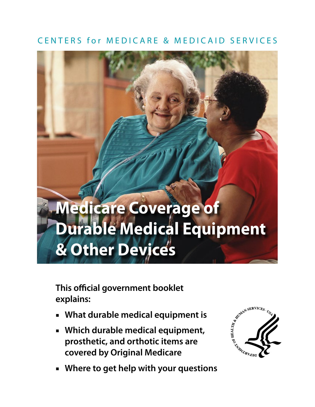# CENTERS for MEDICARE & MEDICAID SERVICES

# **Medicare Coverage of Durable Medical Equipment & Other Devices**

**This official government booklet explains:** 

- **What durable medical equipment is**
- **Which durable medical equipment, prosthetic, and orthotic items are covered by Original Medicare**
- **Where to get help with your questions**

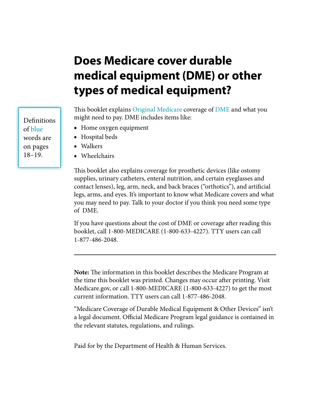# **Does Medicare cover durable medical equipment (DME) or other types of medical equipment?**

This booklet explains [Original Medicare](#page-18-0) coverage of [DME](#page-17-0) and what you might need to pay. DME includes items like:

- Home oxygen equipment
- Hospital beds
- Walkers
- Wheelchairs

This booklet also explains coverage for prosthetic devices (like ostomy supplies, urinary catheters, enteral nutrition, and certain eyeglasses and contact lenses), leg, arm, neck, and back braces ("orthotics"), and artificial legs, arms, and eyes. It's important to know what Medicare covers and what you may need to pay. Talk to your doctor if you think you need some type of DME.

If you have questions about the cost of DME or coverage after reading this booklet, call 1-800-MEDICARE (1-800-633-4227). TTY users can call 1-877-486-2048.

**Note:** The information in this booklet describes the Medicare Program at the time this booklet was printed. Changes may occur after printing. Visit [Medicare.gov,](http://www.medicare.gov) or call 1-800-MEDICARE (1-800-633-4227) to get the most current information. TTY users can call 1-877-486-2048.

"Medicare Coverage of Durable Medical Equipment & Other Devices" isn't a legal document. Official Medicare Program legal guidance is contained in the relevant statutes, regulations, and rulings.

Paid for by the Department of Health & Human Services.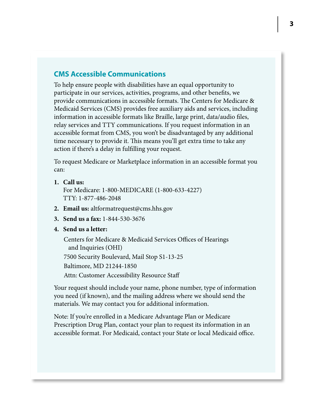### **CMS Accessible Communications**

To help ensure people with disabilities have an equal opportunity to participate in our services, activities, programs, and other benefits, we provide communications in accessible formats. The Centers for Medicare & Medicaid Services (CMS) provides free auxiliary aids and services, including information in accessible formats like Braille, large print, data/audio files, relay services and TTY communications. If you request information in an accessible format from CMS, you won't be disadvantaged by any additional time necessary to provide it. This means you'll get extra time to take any action if there's a delay in fulfilling your request.

To request Medicare or Marketplace information in an accessible format you can:

**1. Call us:**

For Medicare: 1-800-MEDICARE (1-800-633-4227) TTY: 1-877-486-2048

- **2. Email us:** altformatrequest@cms.hhs.gov
- **3. Send us a fax:** 1-844-530-3676
- **4. Send us a letter:**

Centers for Medicare & Medicaid Services Offices of Hearings and Inquiries (OHI) 7500 Security Boulevard, Mail Stop S1-13-25 Baltimore, MD 21244-1850 Attn: Customer Accessibility Resource Staff

Your request should include your name, phone number, type of information you need (if known), and the mailing address where we should send the materials. We may contact you for additional information.

Note: If you're enrolled in a Medicare Advantage Plan or Medicare Prescription Drug Plan, contact your plan to request its information in an accessible format. For Medicaid, contact your State or local Medicaid office.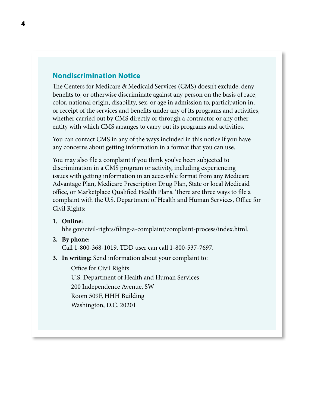### **Nondiscrimination Notice**

The Centers for Medicare & Medicaid Services (CMS) doesn't exclude, deny benefits to, or otherwise discriminate against any person on the basis of race, color, national origin, disability, sex, or age in admission to, participation in, or receipt of the services and benefits under any of its programs and activities, whether carried out by CMS directly or through a contractor or any other entity with which CMS arranges to carry out its programs and activities.

You can contact CMS in any of the ways included in this notice if you have any concerns about getting information in a format that you can use.

You may also file a complaint if you think you've been subjected to discrimination in a CMS program or activity, including experiencing issues with getting information in an accessible format from any Medicare Advantage Plan, Medicare Prescription Drug Plan, State or local Medicaid office, or Marketplace Qualified Health Plans. There are three ways to file a complaint with the U.S. Department of Health and Human Services, Office for Civil Rights:

**1. Online:**

[hhs.gov/civil-rights/filing-a-complaint/complaint-process/index.html](http://hhs.gov/civil-rights/filing-a-complaint/complaint-process/index.html).

**2. By phone:**

Call 1-800-368-1019. TDD user can call 1-800-537-7697.

**3. In writing:** Send information about your complaint to:

Office for Civil Rights U.S. Department of Health and Human Services 200 Independence Avenue, SW Room 509F, HHH Building Washington, D.C. 20201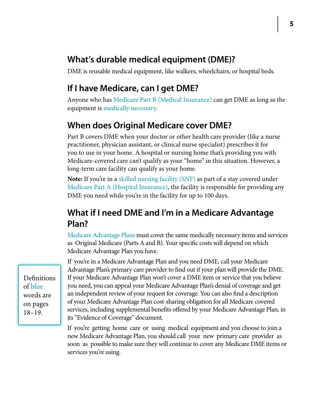# **What's durable medical equipment (DME)?**

DME is reusable medical equipment, like walkers, wheelchairs, or hospital beds.

# **If I have Medicare, can I get DME?**

Anyone who has Medicare Part B (Medical Insurance) can get DME as long as the equipment is [medically necessary](#page-17-1).

# **When does Original Medicare cover DME?**

Part B covers DME when your doctor or other health care provider (like a nurse practitioner, physician assistant, or clinical nurse specialist) prescribes it for you to use in your home. A hospital or nursing home that's providing you with Medicare-covered care can't qualify as your "home" in this situation. However, a long-term care facility can qualify as your home.

**Note:** If you're in a [skilled nursing facility \(SNF\)](#page-18-1) as part of a stay covered under [Medicare Part A \(Hospital Insurance\)](#page-18-2), the facility is responsible for providing any DME you need while you're in the facility for up to 100 days.

# **What if I need DME and I'm in a Medicare Advantage Plan?**

[Medicare Advantage Plans](#page-17-2) must cover the same medically necessary items and services as Original Medicare (Parts A and B). Your specific costs will depend on which Medicare Advantage Plan you have.

If you're in a Medicare Advantage Plan and you need DME, call your Medicare Advantage Plan's primary care provider to find out if your plan will provide the DME. If your Medicare Advantage Plan won't cover a DME item or service that you believe you need, you can appeal your Medicare Advantage Plan's denial of coverage and get an independent review of your request for coverage. You can also find a description of your Medicare Advantage Plan cost-sharing obligation for all Medicare covered services, including supplemental benefits offered by your Medicare Advantage Plan, in its "Evidence of Coverage" document.

If you're getting home care or using medical equipment and you choose to join a new Medicare Advantage Plan, you should call your new primary care provider as soon as possible to make sure they will continue to cover any Medicare DME items or services you're using.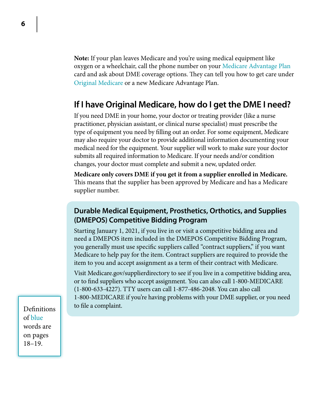**Note:** If your plan leaves Medicare and you're using medical equipment like oxygen or a wheelchair, call the phone number on your [Medicare Advantage Plan](#page-17-2) card and ask about DME coverage options. They can tell you how to get care under [Original Medicare](#page-18-0) or a new Medicare Advantage Plan.

# **If I have Original Medicare, how do I get the DME I need?**

If you need DME in your home, your doctor or treating provider (like a nurse practitioner, physician assistant, or clinical nurse specialist) must prescribe the type of equipment you need by filling out an order. For some equipment, Medicare may also require your doctor to provide additional information documenting your medical need for the equipment. Your supplier will work to make sure your doctor submits all required information to Medicare. If your needs and/or condition changes, your doctor must complete and submit a new, updated order.

**Medicare only covers DME if you get it from a supplier enrolled in Medicare.** This means that the supplier has been approved by Medicare and has a Medicare supplier number.

### **Durable Medical Equipment, Prosthetics, Orthotics, and Supplies (DMEPOS) Competitive Bidding Program**

Starting January 1, 2021, if you live in or visit a competitive bidding area and need a DMEPOS item included in the DMEPOS Competitive Bidding Program, you generally must use specific suppliers called "contract suppliers," if you want Medicare to help pay for the item. Contract suppliers are required to provide the item to you and accept assignment as a term of their contract with Medicare.

Visit [Medicare.gov/supplierdirectory](http://Medicare.gov/supplierdirectory) to see if you live in a competitive bidding area, or to find suppliers who accept assignment. You can also call 1-800-MEDICARE (1-800-633-4227). TTY users can call 1-877-486-2048. You can also call 1-800-MEDICARE if you're having problems with your DME supplier, or you need to file a complaint.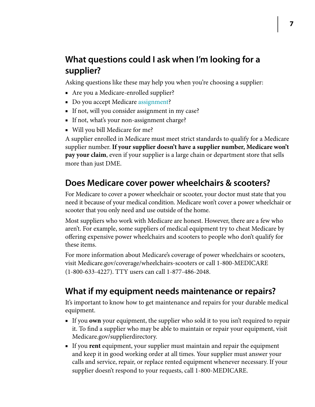# **What questions could I ask when I'm looking for a supplier?**

Asking questions like these may help you when you're choosing a supplier:

- Are you a Medicare-enrolled supplier?
- Do you accept Medicare [assignment?](#page-17-3)
- If not, will you consider assignment in my case?
- If not, what's your non-assignment charge?
- Will you bill Medicare for me?

A supplier enrolled in Medicare must meet strict standards to qualify for a Medicare supplier number. **If your supplier doesn't have a supplier number, Medicare won't pay your claim**, even if your supplier is a large chain or department store that sells more than just DME.

# **Does Medicare cover power wheelchairs & scooters?**

For Medicare to cover a power wheelchair or scooter, your doctor must state that you need it because of your medical condition. Medicare won't cover a power wheelchair or scooter that you only need and use outside of the home.

Most suppliers who work with Medicare are honest. However, there are a few who aren't. For example, some suppliers of medical equipment try to cheat Medicare by offering expensive power wheelchairs and scooters to people who don't qualify for these items.

For more information about Medicare's coverage of power wheelchairs or scooters, visit [Medicare.gov/coverage/wheelchairs-scooters](http://Medicare.gov/coverage/wheelchairs-scooters) or call 1-800-MEDICARE (1-800-633-4227). TTY users can call 1-877-486-2048.

# **What if my equipment needs maintenance or repairs?**

It's important to know how to get maintenance and repairs for your durable medical equipment.

- If you **own** your equipment, the supplier who sold it to you isn't required to repair it. To find a supplier who may be able to maintain or repair your equipment, visit [Medicare.gov/supplierdirectory.](http://Medicare.gov/supplierdirectory)
- If you **rent** equipment, your supplier must maintain and repair the equipment and keep it in good working order at all times. Your supplier must answer your calls and service, repair, or replace rented equipment whenever necessary. If your supplier doesn't respond to your requests, call 1-800-MEDICARE.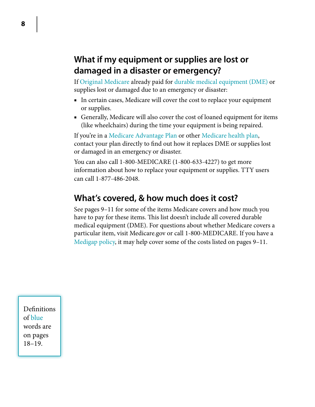# **What if my equipment or supplies are lost or damaged in a disaster or emergency?**

If [Original Medicare](#page-18-0) already paid for [durable medical equipment \(DME\)](#page-17-0) or supplies lost or damaged due to an emergency or disaster:

- In certain cases, Medicare will cover the cost to replace your equipment or supplies.
- Generally, Medicare will also cover the cost of loaned equipment for items (like wheelchairs) during the time your equipment is being repaired.

If you're in a [Medicare Advantage Plan](#page-17-2) or other [Medicare health plan,](#page-18-3) contact your plan directly to find out how it replaces DME or supplies lost or damaged in an emergency or disaster.

You can also call 1-800-MEDICARE (1-800-633-4227) to get more information about how to replace your equipment or supplies. TTY users can call 1-877-486-2048.

# **What's covered, & how much does it cost?**

See pages 9–11 for some of the items Medicare covers and how much you have to pay for these items. This list doesn't include all covered durable medical equipment (DME). For questions about whether Medicare covers a particular item, visit [Medicare.gov](http://www.Medicare.gov) or call 1-800-MEDICARE. If you have a [Medigap policy](#page-18-4), it may help cover some of the costs listed on pages 9–11.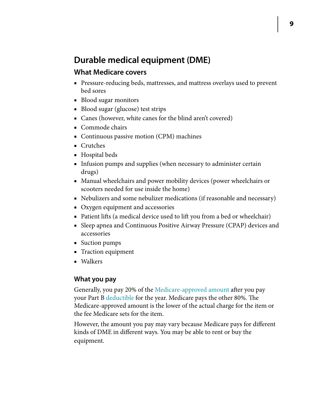# **Durable medical equipment (DME)**

### **What Medicare covers**

- Pressure-reducing beds, mattresses, and mattress overlays used to prevent bed sores
- Blood sugar monitors
- Blood sugar (glucose) test strips
- Canes (however, white canes for the blind aren't covered)
- Commode chairs
- Continuous passive motion (CPM) machines
- Crutches
- Hospital beds
- Infusion pumps and supplies (when necessary to administer certain drugs)
- Manual wheelchairs and power mobility devices (power wheelchairs or scooters needed for use inside the home)
- Nebulizers and some nebulizer medications (if reasonable and necessary)
- Oxygen equipment and accessories
- [Patient lifts](#page-18-1) (a medical device used to lift you from a bed or wheelchair)
- Sleep apnea and Continuous Positive Airway Pressure (CPAP) devices and accessories
- Suction pumps
- Traction equipment
- Walkers

### **What you pay**

Generally, you pay 20% of the [Medicare-approved amount](#page-18-5) after you pay your Part B [deductible](#page-17-4) for the year. Medicare pays the other 80%. The Medicare-approved amount is the lower of the actual charge for the item or the fee Medicare sets for the item.

However, the amount you pay may vary because Medicare pays for different kinds of DME in different ways. You may be able to rent or buy the equipment.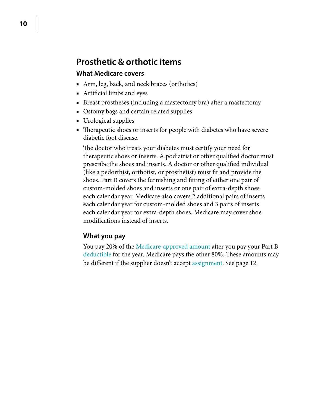## **Prosthetic & orthotic items**

### **What Medicare covers**

- Arm, leg, back, and neck braces (orthotics)
- Artificial limbs and eyes
- Breast prostheses (including a mastectomy bra) after a mastectomy
- Ostomy bags and certain related supplies
- Urological supplies
- Therapeutic shoes or inserts for people with diabetes who have severe diabetic foot disease.

The doctor who treats your diabetes must certify your need for therapeutic shoes or inserts. A podiatrist or other qualified doctor must prescribe the shoes and inserts. A doctor or other qualified individual (like a pedorthist, orthotist, or prosthetist) must fit and provide the shoes. Part B covers the furnishing and fitting of either one pair of custom-molded shoes and inserts or one pair of extra-depth shoes each calendar year. Medicare also covers 2 additional pairs of inserts each calendar year for custom-molded shoes and 3 pairs of inserts each calendar year for extra-depth shoes. Medicare may cover shoe modifications instead of inserts.

### **What you pay**

You pay 20% of the [Medicare-approved amount](#page-18-5) after you pay your Part B [deductible](#page-17-4) for the year. Medicare pays the other 80%. These amounts may be different if the supplier doesn't accept [assignment](#page-17-3). See [page 12](#page-11-0).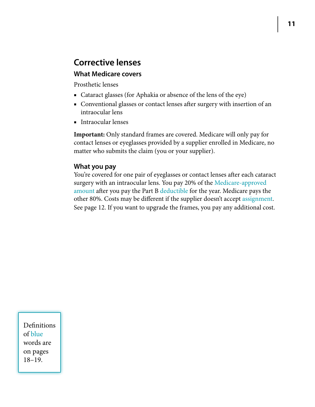# **Corrective lenses**

### **What Medicare covers**

Prosthetic lenses

- Cataract glasses (for Aphakia or absence of the lens of the eye)
- Conventional glasses or contact lenses after surgery with insertion of an intraocular lens
- Intraocular lenses

**Important:** Only standard frames are covered. Medicare will only pay for contact lenses or eyeglasses provided by a supplier enrolled in Medicare, no matter who submits the claim (you or your supplier).

### **What you pay**

You're covered for one pair of eyeglasses or contact lenses after each cataract surgery with an intraocular lens. You pay 20% of the [Medicare-approved](#page-18-5)  [amount](#page-18-5) after you pay the Part B [deductible](#page-17-4) for the year. Medicare pays the other 80%. Costs may be different if the supplier doesn't accept [assignment.](#page-17-3) See [page 1](#page-11-0)2. If you want to upgrade the frames, you pay any additional cost.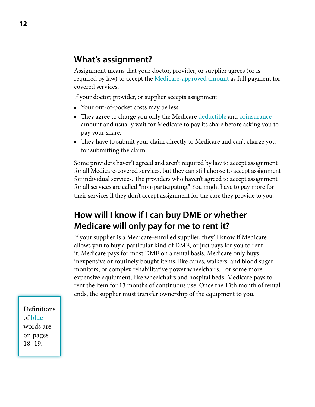# <span id="page-11-0"></span>**What's assignment?**

Assignment means that your doctor, provider, or supplier agrees (or is required by law) to accept the [Medicare-approved amount](#page-18-5) as full payment for covered services.

If your doctor, provider, or supplier accepts assignment:

- Your out-of-pocket costs may be less.
- They agree to charge you only the Medicare [deductible](#page-17-4) and [coinsurance](#page-17-5) amount and usually wait for Medicare to pay its share before asking you to pay your share.
- They have to submit your claim directly to Medicare and can't charge you for submitting the claim.

Some providers haven't agreed and aren't required by law to accept assignment for all Medicare-covered services, but they can still choose to accept assignment for individual services. The providers who haven't agreed to accept assignment for all services are called "non-participating." You might have to pay more for their services if they don't accept assignment for the care they provide to you.

# **How will I know if I can buy DME or whether Medicare will only pay for me to rent it?**

If your supplier is a Medicare-enrolled supplier, they'll know if Medicare allows you to buy a particular kind of DME, or just pays for you to rent it. Medicare pays for most DME on a rental basis. Medicare only buys inexpensive or routinely bought items, like canes, walkers, and blood sugar monitors, or complex rehabilitative power wheelchairs. For some more expensive equipment, like wheelchairs and hospital beds, Medicare pays to rent the item for 13 months of continuous use. Once the 13th month of rental ends, the supplier must transfer ownership of the equipment to you.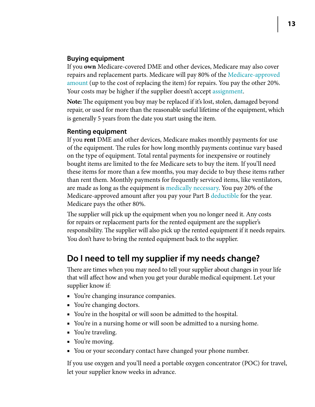### **Buying equipment**

If you **own** Medicare-covered DME and other devices, Medicare may also cover repairs and replacement parts. Medicare will pay 80% of the [Medicare-approved](#page-18-5)  [amount](#page-18-5) (up to the cost of replacing the item) for repairs. You pay the other 20%. Your costs may be higher if the supplier doesn't accept [assignment](#page-17-3).

**Note:** The equipment you buy may be replaced if it's lost, stolen, damaged beyond repair, or used for more than the reasonable useful lifetime of the equipment, which is generally 5 years from the date you start using the item.

### **Renting equipment**

If you **rent** DME and other devices, Medicare makes monthly payments for use of the equipment. The rules for how long monthly payments continue vary based on the type of equipment. Total rental payments for inexpensive or routinely bought items are limited to the fee Medicare sets to buy the item. If you'll need these items for more than a few months, you may decide to buy these items rather than rent them. Monthly payments for frequently serviced items, like ventilators, are made as long as the equipment is [medically necessary.](#page-17-1) You pay 20% of the Medicare-approved amount after you pay your Part B [deductible](#page-17-4) for the year. Medicare pays the other 80%.

The supplier will pick up the equipment when you no longer need it. Any costs for repairs or replacement parts for the rented equipment are the supplier's responsibility. The supplier will also pick up the rented equipment if it needs repairs. You don't have to bring the rented equipment back to the supplier.

# **Do I need to tell my supplier if my needs change?**

There are times when you may need to tell your supplier about changes in your life that will affect how and when you get your durable medical equipment. Let your supplier know if:

- You're changing insurance companies.
- You're changing doctors.
- You're in the hospital or will soon be admitted to the hospital.
- You're in a nursing home or will soon be admitted to a nursing home.
- You're traveling.
- You're moving.
- You or your secondary contact have changed your phone number.

If you use oxygen and you'll need a portable oxygen concentrator (POC) for travel, let your supplier know weeks in advance.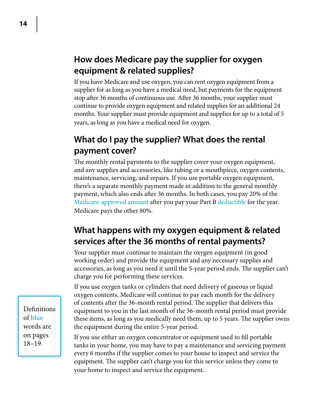# **How does Medicare pay the supplier for oxygen equipment & related supplies?**

If you have Medicare and use oxygen, you can rent oxygen equipment from a supplier for as long as you have a medical need, but payments for the equipment stop after 36 months of continuous use. After 36 months, your supplier must continue to provide oxygen equipment and related supplies for an additional 24 months. Your supplier must provide equipment and supplies for up to a total of 5 years, as long as you have a medical need for oxygen.

# **What do I pay the supplier? What does the rental payment cover?**

The monthly rental payments to the supplier cover your oxygen equipment, and any supplies and accessories, like tubing or a mouthpiece, oxygen contents, maintenance, servicing, and repairs. If you use portable oxygen equipment, there's a separate monthly payment made in addition to the general monthly payment, which also ends after 36 months. In both cases, you pay 20% of the [Medicare-approved amount](#page-18-5) after you pay your Part B [deductible](#page-17-4) for the year. Medicare pays the other 80%.

# **What happens with my oxygen equipment & related services after the 36 months of rental payments?**

Your supplier must continue to maintain the oxygen equipment (in good working order) and provide the equipment and any necessary supplies and accessories, as long as you need it until the 5-year period ends. The supplier can't charge you for performing these services.

If you use oxygen tanks or cylinders that need delivery of gaseous or liquid oxygen contents, Medicare will continue to pay each month for the delivery of contents after the 36-month rental period. The supplier that delivers this equipment to you in the last month of the 36-month rental period must provide these items, as long as you medically need them, up to 5 years. The supplier owns the equipment during the entire 5-year period.

If you use either an oxygen concentrator or equipment used to fill portable tanks in your home, you may have to pay a maintenance and servicing payment every 6 months if the supplier comes to your house to inspect and service the equipment. The supplier can't charge you for this service unless they come to your home to inspect and service the equipment.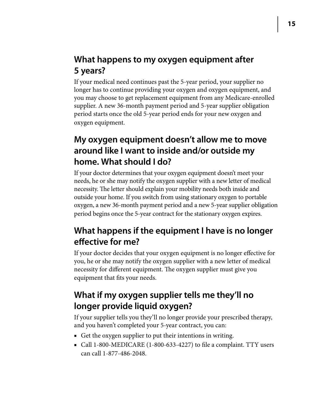# **What happens to my oxygen equipment after 5 years?**

If your medical need continues past the 5-year period, your supplier no longer has to continue providing your oxygen and oxygen equipment, and you may choose to get replacement equipment from any Medicare-enrolled supplier. A new 36-month payment period and 5-year supplier obligation period starts once the old 5-year period ends for your new oxygen and oxygen equipment.

# **My oxygen equipment doesn't allow me to move around like I want to inside and/or outside my home. What should I do?**

If your doctor determines that your oxygen equipment doesn't meet your needs, he or she may notify the oxygen supplier with a new letter of medical necessity. The letter should explain your mobility needs both inside and outside your home. If you switch from using stationary oxygen to portable oxygen, a new 36-month payment period and a new 5-year supplier obligation period begins once the 5-year contract for the stationary oxygen expires.

# **What happens if the equipment I have is no longer effective for me?**

If your doctor decides that your oxygen equipment is no longer effective for you, he or she may notify the oxygen supplier with a new letter of medical necessity for different equipment. The oxygen supplier must give you equipment that fits your needs.

# **What if my oxygen supplier tells me they'll no longer provide liquid oxygen?**

If your supplier tells you they'll no longer provide your prescribed therapy, and you haven't completed your 5-year contract, you can:

- Get the oxygen supplier to put their intentions in writing.
- Call 1-800-MEDICARE (1-800-633-4227) to file a complaint. TTY users can call 1-877-486-2048.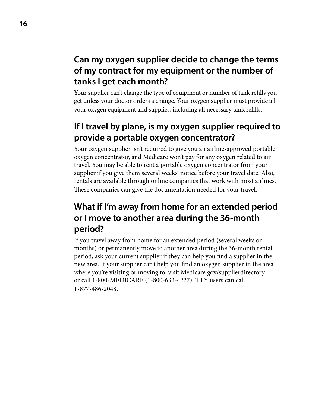# **Can my oxygen supplier decide to change the terms of my contract for my equipment or the number of tanks I get each month?**

Your supplier can't change the type of equipment or number of tank refills you get unless your doctor orders a change. Your oxygen supplier must provide all your oxygen equipment and supplies, including all necessary tank refills.

# **If I travel by plane, is my oxygen supplier required to provide a portable oxygen concentrator?**

Your oxygen supplier isn't required to give you an airline-approved portable oxygen concentrator, and Medicare won't pay for any oxygen related to air travel. You may be able to rent a portable oxygen concentrator from your supplier if you give them several weeks' notice before your travel date. Also, rentals are available through online companies that work with most airlines. These companies can give the documentation needed for your travel.

# **What if I'm away from home for an extended period or I move to another area during the 36-month period?**

If you travel away from home for an extended period (several weeks or months) or permanently move to another area during the 36-month rental period, ask your current supplier if they can help you find a supplier in the new area. If your supplier can't help you find an oxygen supplier in the area where you're visiting or moving to, visit [Medicare.gov/supplierdirectory](http://Medicare.gov/supplierdirectory) or call 1-800-MEDICARE (1-800-633-4227). TTY users can call 1-877-486-2048.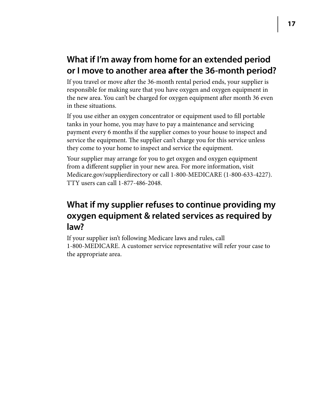# **What if I'm away from home for an extended period or I move to another area after the 36-month period?**

If you travel or move after the 36-month rental period ends, your supplier is responsible for making sure that you have oxygen and oxygen equipment in the new area. You can't be charged for oxygen equipment after month 36 even in these situations.

If you use either an oxygen concentrator or equipment used to fill portable tanks in your home, you may have to pay a maintenance and servicing payment every 6 months if the supplier comes to your house to inspect and service the equipment. The supplier can't charge you for this service unless they come to your home to inspect and service the equipment.

Your supplier may arrange for you to get oxygen and oxygen equipment from a different supplier in your new area. For more information, visit [Medicare.gov/supplierdirectory](http://Medicare.gov/supplierdirectory) or call 1-800-MEDICARE (1-800-633-4227). TTY users can call 1-877-486-2048.

# **What if my supplier refuses to continue providing my oxygen equipment & related services as required by law?**

If your supplier isn't following Medicare laws and rules, call 1-800-MEDICARE. A customer service representative will refer your case to the appropriate area.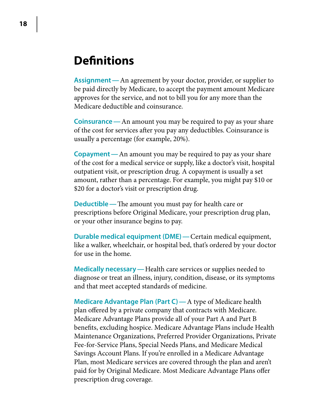# **Definitions**

<span id="page-17-3"></span>**Assignment—** An agreement by your doctor, provider, or supplier to be paid directly by Medicare, to accept the payment amount Medicare approves for the service, and not to bill you for any more than the Medicare deductible and coinsurance.

<span id="page-17-5"></span>**Coinsurance—** An amount you may be required to pay as your share of the cost for services after you pay any deductibles. Coinsurance is usually a percentage (for example, 20%).

**Copayment—** An amount you may be required to pay as your share of the cost for a medical service or supply, like a doctor's visit, hospital outpatient visit, or prescription drug. A copayment is usually a set amount, rather than a percentage. For example, you might pay \$10 or \$20 for a doctor's visit or prescription drug.

<span id="page-17-4"></span>**Deductible—** The amount you must pay for health care or prescriptions before Original Medicare, your prescription drug plan, or your other insurance begins to pay.

<span id="page-17-0"></span>**Durable medical equipment (DME)—** Certain medical equipment, like a walker, wheelchair, or hospital bed, that's ordered by your doctor for use in the home.

<span id="page-17-1"></span>**Medically necessary—** Health care services or supplies needed to diagnose or treat an illness, injury, condition, disease, or its symptoms and that meet accepted standards of medicine.

<span id="page-17-2"></span>**Medicare Advantage Plan (Part C)—**A type of Medicare health plan offered by a private company that contracts with Medicare. Medicare Advantage Plans provide all of your Part A and Part B benefits, excluding hospice. Medicare Advantage Plans include Health Maintenance Organizations, Preferred Provider Organizations, Private Fee-for-Service Plans, Special Needs Plans, and Medicare Medical Savings Account Plans. If you're enrolled in a Medicare Advantage Plan, most Medicare services are covered through the plan and aren't paid for by Original Medicare. Most Medicare Advantage Plans offer prescription drug coverage.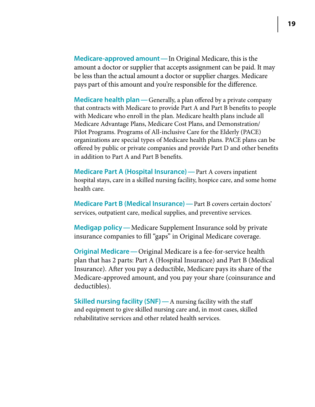<span id="page-18-5"></span>**Medicare-approved amount—** In Original Medicare, this is the amount a doctor or supplier that accepts assignment can be paid. It may be less than the actual amount a doctor or supplier charges. Medicare pays part of this amount and you're responsible for the difference.

<span id="page-18-3"></span>**Medicare health plan—** Generally, a plan offered by a private company that contracts with Medicare to provide Part A and Part B benefits to people with Medicare who enroll in the plan. Medicare health plans include all Medicare Advantage Plans, Medicare Cost Plans, and Demonstration/ Pilot Programs. Programs of All-inclusive Care for the Elderly (PACE) organizations are special types of Medicare health plans. PACE plans can be offered by public or private companies and provide Part D and other benefits in addition to Part A and Part B benefits.

<span id="page-18-2"></span>**Medicare Part A (Hospital Insurance)—** Part A covers inpatient hospital stays, care in a skilled nursing facility, hospice care, and some home health care.

**Medicare Part B (Medical Insurance)—** Part B covers certain doctors' services, outpatient care, medical supplies, and preventive services.

<span id="page-18-4"></span>**Medigap policy—** Medicare Supplement Insurance sold by private insurance companies to fill "gaps" in Original Medicare coverage.

<span id="page-18-0"></span>**Original Medicare—** Original Medicare is a fee-for-service health plan that has 2 parts: Part A (Hospital Insurance) and Part B (Medical Insurance). After you pay a deductible, Medicare pays its share of the Medicare-approved amount, and you pay your share (coinsurance and deductibles).

<span id="page-18-1"></span>**Skilled nursing facility (SNF)—** A nursing facility with the staff and equipment to give skilled nursing care and, in most cases, skilled rehabilitative services and other related health services.